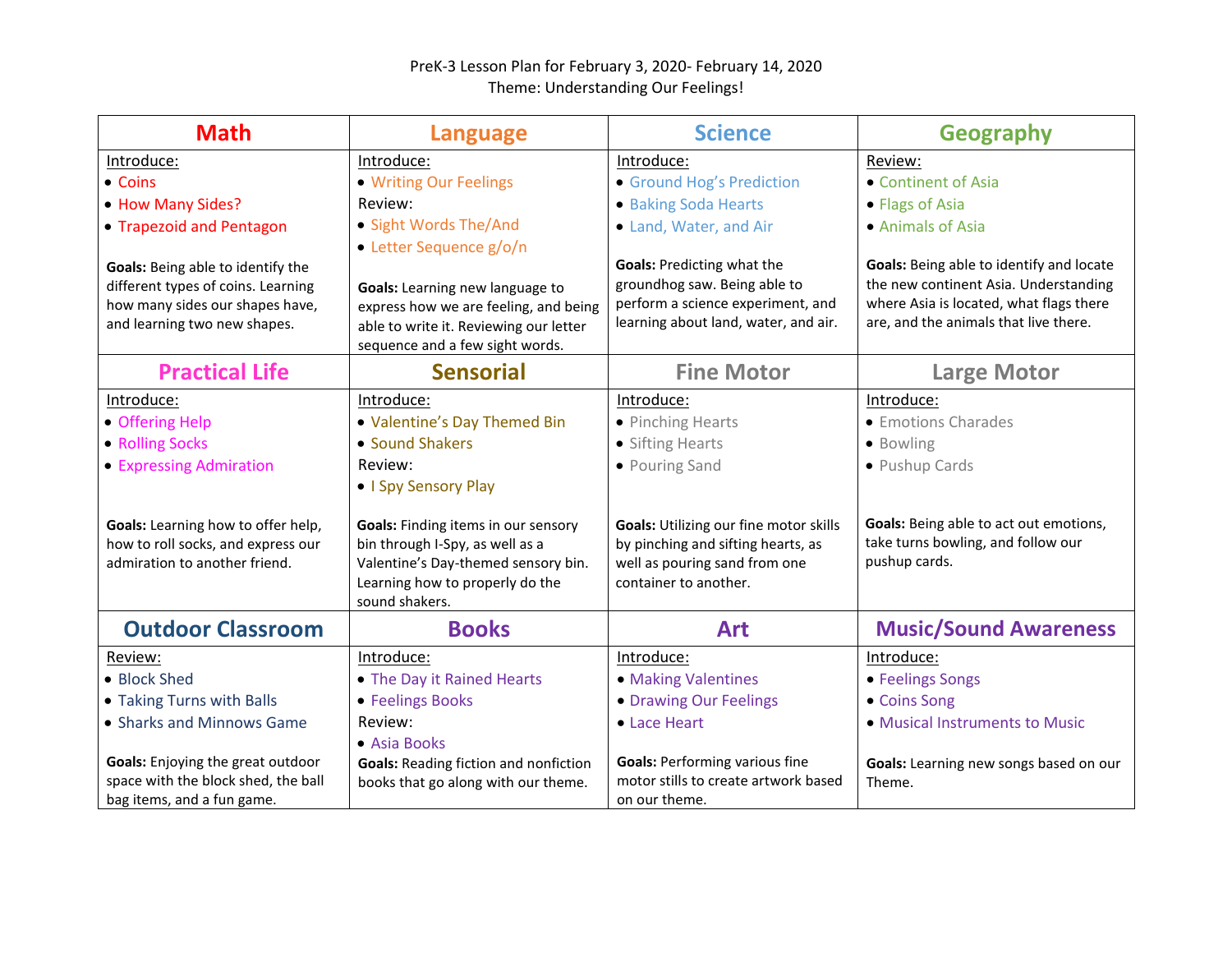## PreK-3 Lesson Plan for February 3, 2020- February 14, 2020 Theme: Understanding Our Feelings!

| <b>Math</b>                              | <b>Language</b>                              | <b>Science</b>                         | <b>Geography</b>                         |
|------------------------------------------|----------------------------------------------|----------------------------------------|------------------------------------------|
| Introduce:                               | Introduce:                                   | Introduce:                             | Review:                                  |
| • Coins                                  | • Writing Our Feelings                       | • Ground Hog's Prediction              | • Continent of Asia                      |
| • How Many Sides?                        | Review:                                      | • Baking Soda Hearts                   | • Flags of Asia                          |
| • Trapezoid and Pentagon                 | • Sight Words The/And                        | • Land, Water, and Air                 | • Animals of Asia                        |
|                                          | • Letter Sequence g/o/n                      |                                        |                                          |
| Goals: Being able to identify the        |                                              | <b>Goals: Predicting what the</b>      | Goals: Being able to identify and locate |
| different types of coins. Learning       | Goals: Learning new language to              | groundhog saw. Being able to           | the new continent Asia. Understanding    |
| how many sides our shapes have,          | express how we are feeling, and being        | perform a science experiment, and      | where Asia is located, what flags there  |
| and learning two new shapes.             | able to write it. Reviewing our letter       | learning about land, water, and air.   | are, and the animals that live there.    |
|                                          | sequence and a few sight words.              |                                        |                                          |
| <b>Practical Life</b>                    | <b>Sensorial</b>                             | <b>Fine Motor</b>                      | <b>Large Motor</b>                       |
| Introduce:                               | Introduce:                                   | Introduce:                             | Introduce:                               |
| • Offering Help                          | • Valentine's Day Themed Bin                 | • Pinching Hearts                      | • Emotions Charades                      |
| • Rolling Socks                          | • Sound Shakers                              | • Sifting Hearts                       | • Bowling                                |
| • Expressing Admiration                  | Review:                                      | • Pouring Sand                         | • Pushup Cards                           |
|                                          | • I Spy Sensory Play                         |                                        |                                          |
| Goals: Learning how to offer help,       | Goals: Finding items in our sensory          | Goals: Utilizing our fine motor skills | Goals: Being able to act out emotions,   |
| how to roll socks, and express our       | bin through I-Spy, as well as a              | by pinching and sifting hearts, as     | take turns bowling, and follow our       |
| admiration to another friend.            | Valentine's Day-themed sensory bin.          | well as pouring sand from one          | pushup cards.                            |
|                                          | Learning how to properly do the              | container to another.                  |                                          |
|                                          | sound shakers.                               |                                        |                                          |
| <b>Outdoor Classroom</b>                 | <b>Books</b>                                 | Art                                    | <b>Music/Sound Awareness</b>             |
| Review:                                  | Introduce:                                   | Introduce:                             | Introduce:                               |
| • Block Shed                             | • The Day it Rained Hearts                   | • Making Valentines                    | • Feelings Songs                         |
| • Taking Turns with Balls                | • Feelings Books                             | • Drawing Our Feelings                 | • Coins Song                             |
| • Sharks and Minnows Game                | Review:                                      | • Lace Heart                           | • Musical Instruments to Music           |
|                                          | • Asia Books                                 |                                        |                                          |
| <b>Goals:</b> Enjoying the great outdoor | <b>Goals: Reading fiction and nonfiction</b> | <b>Goals: Performing various fine</b>  | Goals: Learning new songs based on our   |
| space with the block shed, the ball      | books that go along with our theme.          | motor stills to create artwork based   | Theme.                                   |
| bag items, and a fun game.               |                                              | on our theme.                          |                                          |